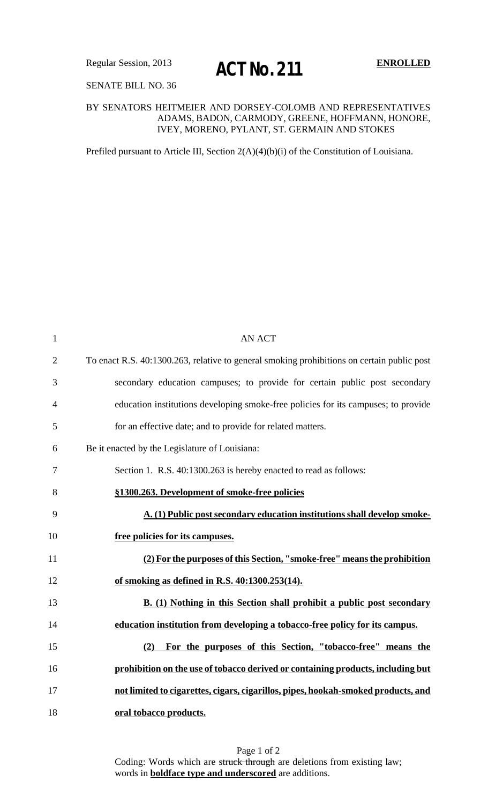## SENATE BILL NO. 36

## BY SENATORS HEITMEIER AND DORSEY-COLOMB AND REPRESENTATIVES ADAMS, BADON, CARMODY, GREENE, HOFFMANN, HONORE, IVEY, MORENO, PYLANT, ST. GERMAIN AND STOKES

Prefiled pursuant to Article III, Section 2(A)(4)(b)(i) of the Constitution of Louisiana.

| $\mathbf{1}$   | <b>AN ACT</b>                                                                              |
|----------------|--------------------------------------------------------------------------------------------|
| $\overline{2}$ | To enact R.S. 40:1300.263, relative to general smoking prohibitions on certain public post |
| 3              | secondary education campuses; to provide for certain public post secondary                 |
| $\overline{4}$ | education institutions developing smoke-free policies for its campuses; to provide         |
| 5              | for an effective date; and to provide for related matters.                                 |
| 6              | Be it enacted by the Legislature of Louisiana:                                             |
| $\overline{7}$ | Section 1. R.S. 40:1300.263 is hereby enacted to read as follows:                          |
| 8              | §1300.263. Development of smoke-free policies                                              |
| 9              | A. (1) Public post secondary education institutions shall develop smoke-                   |
| 10             | free policies for its campuses.                                                            |
| 11             | (2) For the purposes of this Section, "smoke-free" means the prohibition                   |
| 12             | of smoking as defined in R.S. 40:1300.253(14).                                             |
| 13             | B. (1) Nothing in this Section shall prohibit a public post secondary                      |
| 14             | education institution from developing a tobacco-free policy for its campus.                |
| 15             | For the purposes of this Section, "tobacco-free" means the<br>(2)                          |
| 16             | prohibition on the use of tobacco derived or containing products, including but            |
| 17             | not limited to cigarettes, cigars, cigarillos, pipes, hookah-smoked products, and          |
| 18             | oral tobacco products.                                                                     |

Page 1 of 2 Coding: Words which are struck through are deletions from existing law; words in **boldface type and underscored** are additions.